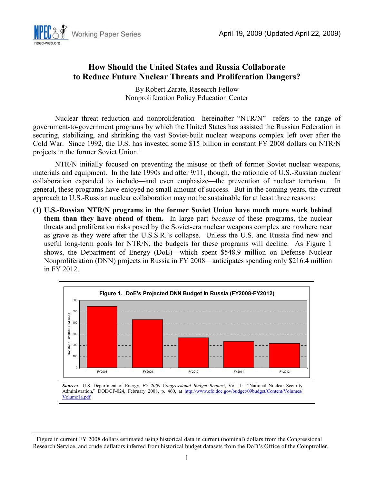

# **How Should the United States and Russia Collaborate to Reduce Future Nuclear Threats and Proliferation Dangers?**

By Robert Zarate, Research Fellow Nonproliferation Policy Education Center

Nuclear threat reduction and nonproliferation—hereinafter "NTR/N"—refers to the range of government-to-government programs by which the United States has assisted the Russian Federation in securing, stabilizing, and shrinking the vast Soviet-built nuclear weapons complex left over after the Cold War. Since 1992, the U.S. has invested some \$15 billion in constant FY 2008 dollars on NTR/N projects in the former Soviet Union.<sup>1</sup>

NTR/N initially focused on preventing the misuse or theft of former Soviet nuclear weapons, materials and equipment. In the late 1990s and after 9/11, though, the rationale of U.S.-Russian nuclear collaboration expanded to include—and even emphasize—the prevention of nuclear terrorism. In general, these programs have enjoyed no small amount of success. But in the coming years, the current approach to U.S.-Russian nuclear collaboration may not be sustainable for at least three reasons:

**(1) U.S.-Russian NTR/N programs in the former Soviet Union have much more work behind them than they have ahead of them.** In large part *because* of these programs, the nuclear threats and proliferation risks posed by the Soviet-era nuclear weapons complex are nowhere near as grave as they were after the U.S.S.R.'s collapse. Unless the U.S. and Russia find new and useful long-term goals for NTR/N, the budgets for these programs will decline. As Figure 1 shows, the Department of Energy (DoE)—which spent \$548.9 million on Defense Nuclear Nonproliferation (DNN) projects in Russia in FY 2008—anticipates spending only \$216.4 million in FY 2012.



*Source***:** U.S. Department of Energy, *FY 2009 Congressional Budget Request*, Vol. 1: "National Nuclear Security Administration," DOE/CF-024, February 2008, p. 460, at http://www.cfo.doe.gov/budget/09budget/Content/Volumes/ Volume1a.pdf.

<sup>&</sup>lt;u>.</u> 1 Figure in current FY 2008 dollars estimated using historical data in current (nominal) dollars from the Congressional Research Service, and crude deflators inferred from historical budget datasets from the DoD's Office of the Comptroller.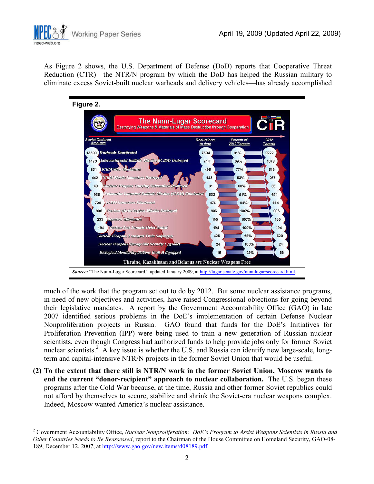

 $\overline{a}$ 

As Figure 2 shows, the U.S. Department of Defense (DoD) reports that Cooperative Threat Reduction (CTR)—the NTR/N program by which the DoD has helped the Russian military to eliminate excess Soviet-built nuclear warheads and delivery vehicles—has already accomplished



much of the work that the program set out to do by 2012. But some nuclear assistance programs, in need of new objectives and activities, have raised Congressional objections for going beyond their legislative mandates. A report by the Government Accountability Office (GAO) in late 2007 identified serious problems in the DoE's implementation of certain Defense Nuclear Nonproliferation projects in Russia. GAO found that funds for the DoE's Initiatives for Proliferation Prevention (IPP) were being used to train a new generation of Russian nuclear scientists, even though Congress had authorized funds to help provide jobs only for former Soviet nuclear scientists.<sup>2</sup> A key issue is whether the U.S. and Russia can identify new large-scale, longterm and capital-intensive NTR/N projects in the former Soviet Union that would be useful.

**(2) To the extent that there still is NTR/N work in the former Soviet Union, Moscow wants to end the current "donor-recipient" approach to nuclear collaboration.** The U.S. began these programs after the Cold War because, at the time, Russia and other former Soviet republics could not afford by themselves to secure, stabilize and shrink the Soviet-era nuclear weapons complex. Indeed, Moscow wanted America's nuclear assistance.

<sup>2</sup> Government Accountability Office, *Nuclear Nonproliferation: DoE's Program to Assist Weapons Scientists in Russia and Other Countries Needs to Be Reassessed*, report to the Chairman of the House Committee on Homeland Security, GAO-08- 189, December 12, 2007, at http://www.gao.gov/new.items/d08189.pdf.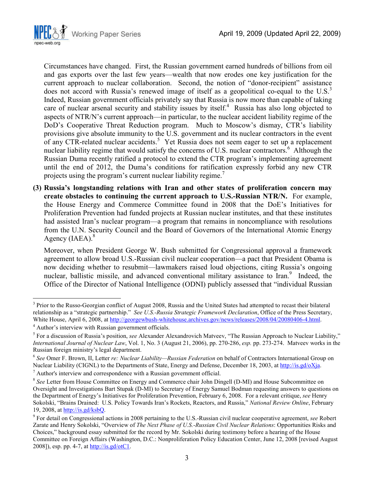

Circumstances have changed.First, the Russian government earned hundreds of billions from oil and gas exports over the last few years—wealth that now erodes one key justification for the current approach to nuclear collaboration. Second, the notion of "donor-recipient" assistance does not accord with Russia's renewed image of itself as a geopolitical co-equal to the U.S. $3$ Indeed, Russian government officials privately say that Russia is now more than capable of taking care of nuclear arsenal security and stability issues by itself.<sup>4</sup> Russia has also long objected to aspects of NTR/N's current approach—in particular, to the nuclear accident liability regime of the DoD's Cooperative Threat Reduction program. Much to Moscow's dismay, CTR's liability provisions give absolute immunity to the U.S. government and its nuclear contractors in the event of any CTR-related nuclear accidents.<sup>5</sup> Yet Russia does not seem eager to set up a replacement nuclear liability regime that would satisfy the concerns of U.S. nuclear contractors.<sup>6</sup> Although the Russian Duma recently ratified a protocol to extend the CTR program's implementing agreement until the end of 2012, the Duma's conditions for ratification expressly forbid any new CTR projects using the program's current nuclear liability regime.<sup>7</sup>

**(3) Russia's longstanding relations with Iran and other states of proliferation concern may create obstacles to continuing the current approach to U.S.-Russian NTR/N.** For example, the House Energy and Commerce Committee found in 2008 that the DoE's Initiatives for Proliferation Prevention had funded projects at Russian nuclear institutes, and that these institutes had assisted Iran's nuclear program—a program that remains in noncompliance with resolutions from the U.N. Security Council and the Board of Governors of the International Atomic Energy Agency  $(IAEA)^8$ 

Moreover, when President George W. Bush submitted for Congressional approval a framework agreement to allow broad U.S.-Russian civil nuclear cooperation—a pact that President Obama is now deciding whether to resubmit—lawmakers raised loud objections, citing Russia's ongoing nuclear, ballistic missile, and advanced conventional military assistance to Iran.<sup>9</sup> Indeed, the Office of the Director of National Intelligence (ODNI) publicly assessed that "individual Russian

 $\overline{a}$ 

 $<sup>7</sup>$  Author's interview and correspondence with a Russian government official.</sup>

<sup>&</sup>lt;sup>3</sup> Prior to the Russo-Georgian conflict of August 2008, Russia and the United States had attempted to recast their bilateral relationship as a "strategic partnership." *See U.S.-Russia Strategic Framework Declaration*, Office of the Press Secretary, White House, April 6, 2008, at http://georgewbush-whitehouse.archives.gov/news/releases/2008/04/20080406-4.html.

<sup>4</sup> Author's interview with Russian government officials.

<sup>&</sup>lt;sup>5</sup> For a discussion of Russia's position, *see* Alexander Alexandrovich Matveev, "The Russian Approach to Nuclear Liability," *International Journal of Nuclear Law*, Vol. 1, No. 3 (August 21, 2006), pp. 270-286, *esp.* pp. 273-274. Matveev works in the Russian foreign ministry's legal department.

<sup>6</sup> *See* Omer F. Brown, II, Letter *re: Nuclear Liability—Russian Federation* on behalf of Contractors International Group on Nuclear Liability (CIGNL) to the Departments of State, Energy and Defense, December 18, 2003, at http://is.gd/oXja.

<sup>&</sup>lt;sup>8</sup> See Letter from House Committee on Energy and Commerce chair John Dingell (D-MI) and House Subcommittee on Oversight and Investigations Bart Stupak (D-MI) to Secretary of Energy Samuel Bodman requesting answers to questions on the Department of Energy's Initiatives for Proliferation Prevention, February 6, 2008. For a relevant critique, *see* Henry Sokolski, "Brains Drained: U.S. Policy Towards Iran's Rockets, Reactors, and Russia," *National Review Online*, February 19, 2008, at http://is.gd/ksbQ.

<sup>9</sup> For detail on Congressional actions in 2008 pertaining to the U.S.-Russian civil nuclear cooperative agreement, *see* Robert Zarate and Henry Sokolski, "Overview of *The Next Phase of U.S.-Russian Civil Nuclear Relations*: Opportunities Risks and Choices," background essay submitted for the record by Mr. Sokolski during testimony before a hearing of the House Committee on Foreign Affairs (Washington, D.C.: Nonproliferation Policy Education Center, June 12, 2008 [revised August 2008]), esp. pp. 4-7, at http://is.gd/otC1.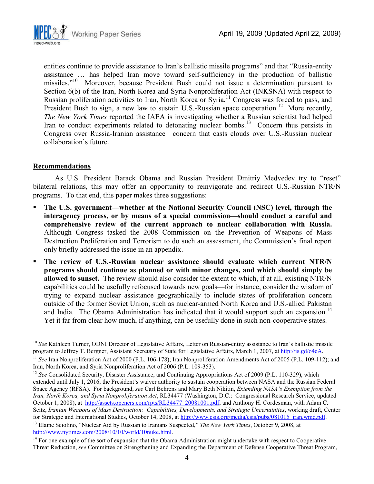

entities continue to provide assistance to Iran's ballistic missile programs" and that "Russia-entity assistance … has helped Iran move toward self-sufficiency in the production of ballistic missiles."<sup>10</sup> Moreover, because President Bush could not issue a determination pursuant to Section 6(b) of the Iran, North Korea and Syria Nonproliferation Act (INKSNA) with respect to Russian proliferation activities to Iran, North Korea or Syria,<sup>11</sup> Congress was forced to pass, and President Bush to sign, a new law to sustain U.S.-Russian space cooperation.<sup>12</sup> More recently, *The New York Times* reported the IAEA is investigating whether a Russian scientist had helped Iran to conduct experiments related to detonating nuclear bombs.<sup>13</sup> Concern thus persists in Congress over Russia-Iranian assistance—concern that casts clouds over U.S.-Russian nuclear collaboration's future.

### **Recommendations**

As U.S. President Barack Obama and Russian President Dmitriy Medvedev try to "reset" bilateral relations, this may offer an opportunity to reinvigorate and redirect U.S.-Russian NTR/N programs. To that end, this paper makes three suggestions:

- **The U.S. government—whether at the National Security Council (NSC) level, through the interagency process, or by means of a special commission—should conduct a careful and comprehensive review of the current approach to nuclear collaboration with Russia.** Although Congress tasked the 2008 Commission on the Prevention of Weapons of Mass Destruction Proliferation and Terrorism to do such an assessment, the Commission's final report only briefly addressed the issue in an appendix.
- **The review of U.S.-Russian nuclear assistance should evaluate which current NTR/N programs should continue as planned or with minor changes, and which should simply be allowed to sunset.** The review should also consider the extent to which, if at all, existing NTR/N capabilities could be usefully refocused towards new goals—for instance, consider the wisdom of trying to expand nuclear assistance geographically to include states of proliferation concern outside of the former Soviet Union, such as nuclear-armed North Korea and U.S.-allied Pakistan and India. The Obama Administration has indicated that it would support such an expansion.<sup>14</sup> Yet it far from clear how much, if anything, can be usefully done in such non-cooperative states.

<sup>-</sup><sup>10</sup> See Kathleen Turner, ODNI Director of Legislative Affairs, Letter on Russian-entity assistance to Iran's ballistic missile program to Jeffrey T. Bergner, Assistant Secretary of State for Legislative Affairs, March 1, 2007, at http://is.gd/o4eA.

<sup>&</sup>lt;sup>11</sup> See Iran Nonproliferation Act of 2000 (P.L. 106-178); Iran Nonproliferation Amendments Act of 2005 (P.L. 109-112); and Iran, North Korea, and Syria Nonproliferation Act of 2006 (P.L. 109-353).

<sup>&</sup>lt;sup>12</sup> See Consolidated Security, Disaster Assistance, and Continuing Appropriations Act of 2009 (P.L. 110-329), which extended until July 1, 2016, the President's waiver authority to sustain cooperation between NASA and the Russian Federal Space Agency (RFSA). For background, *see* Carl Behrens and Mary Beth Nikitin, *Extending NASA's Exemption from the Iran, North Korea, and Syria Nonproliferation Act*, RL34477 (Washington, D.C.: Congressional Research Service, updated October 1, 2008), at http://assets.opencrs.com/rpts/RL34477\_20081001.pdf; and Anthony H. Cordesman, with Adam C. Seitz, *Iranian Weapons of Mass Destruction: Capabilities, Developments, and Strategic Uncertainties*, working draft, Center for Strategic and International Studies, October 14, 2008, at http://www.csis.org/media/csis/pubs/081015\_iran.wmd.pdf. <sup>13</sup> Elaine Sciolino, "Nuclear Aid by Russian to Iranians Suspected," *The New York Times*, October 9, 2008, at http://www.nytimes.com/2008/10/10/world/10nuke.html.

 $14$  For one example of the sort of expansion that the Obama Administration might undertake with respect to Cooperative Threat Reduction, *see* Committee on Strengthening and Expanding the Department of Defense Cooperative Threat Program,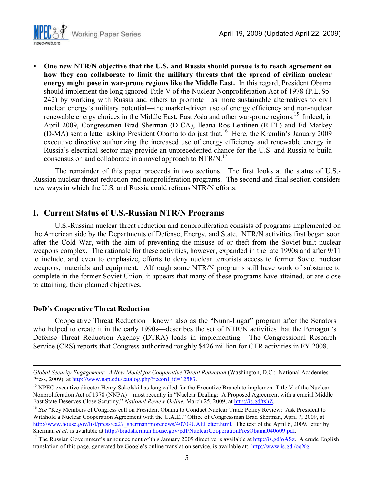

 **One new NTR/N objective that the U.S. and Russia should pursue is to reach agreement on how they can collaborate to limit the military threats that the spread of civilian nuclear energy might pose in war-prone regions like the Middle East.** In this regard, President Obama should implement the long-ignored Title V of the Nuclear Nonproliferation Act of 1978 (P.L. 95- 242) by working with Russia and others to promote—as more sustainable alternatives to civil nuclear energy's military potential—the market-driven use of energy efficiency and non-nuclear renewable energy choices in the Middle East, East Asia and other war-prone regions.<sup>15</sup> Indeed, in April 2009, Congressmen Brad Sherman (D-CA), Ileana Ros-Lehtinen (R-FL) and Ed Markey (D-MA) sent a letter asking President Obama to do just that.<sup>16</sup> Here, the Kremlin's January 2009 executive directive authorizing the increased use of energy efficiency and renewable energy in Russia's electrical sector may provide an unprecedented chance for the U.S. and Russia to build consensus on and collaborate in a novel approach to NTR/N.<sup>17</sup>

The remainder of this paper proceeds in two sections. The first looks at the status of U.S.- Russian nuclear threat reduction and nonproliferation programs. The second and final section considers new ways in which the U.S. and Russia could refocus NTR/N efforts.

### **I. Current Status of U.S.-Russian NTR/N Programs**

U.S.-Russian nuclear threat reduction and nonproliferation consists of programs implemented on the American side by the Departments of Defense, Energy, and State. NTR/N activities first began soon after the Cold War, with the aim of preventing the misuse of or theft from the Soviet-built nuclear weapons complex. The rationale for these activities, however, expanded in the late 1990s and after 9/11 to include, and even to emphasize, efforts to deny nuclear terrorists access to former Soviet nuclear weapons, materials and equipment. Although some NTR/N programs still have work of substance to complete in the former Soviet Union, it appears that many of these programs have attained, or are close to attaining, their planned objectives.

#### **DoD's Cooperative Threat Reduction**

<u>.</u>

Cooperative Threat Reduction—known also as the "Nunn-Lugar" program after the Senators who helped to create it in the early 1990s—describes the set of NTR/N activities that the Pentagon's Defense Threat Reduction Agency (DTRA) leads in implementing. The Congressional Research Service (CRS) reports that Congress authorized roughly \$426 million for CTR activities in FY 2008.

*Global Security Engagement: A New Model for Cooperative Threat Reduction* (Washington, D.C.: National Academies Press, 2009), at http://www.nap.edu/catalog.php?record\_id=12583.

<sup>&</sup>lt;sup>15</sup> NPEC executive director Henry Sokolski has long called for the Executive Branch to implement Title V of the Nuclear Nonproliferation Act of 1978 (NNPA)—most recently in "Nuclear Dealing: A Proposed Agreement with a crucial Middle East State Deserves Close Scrutiny," *National Review Online*, March 25, 2009, at http://is.gd/tshZ.

<sup>&</sup>lt;sup>16</sup> See "Key Members of Congress call on President Obama to Conduct Nuclear Trade Policy Review: Ask President to Withhold a Nuclear Cooperation Agreement with the U.A.E.," Office of Congressman Brad Sherman, April 7, 2009, at http://www.house.gov/list/press/ca27\_sherman/morenews/40709UAELetter.html. The text of the April 6, 2009, letter by Sherman *et al.* is available at http://bradsherman.house.gov/pdf/NuclearCooperationPresObama040609.pdf.

<sup>&</sup>lt;sup>17</sup> The Russian Government's announcement of this January 2009 directive is available at  $\frac{http://is.gd/oASz. A crude English}{$ translation of this page, generated by Google's online translation service, is available at: http://www.is.gd./oqXg.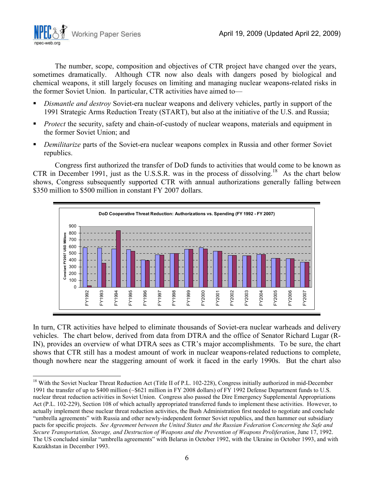The number, scope, composition and objectives of CTR project have changed over the years, sometimes dramatically. Although CTR now also deals with dangers posed by biological and chemical weapons, it still largely focuses on limiting and managing nuclear weapons-related risks in the former Soviet Union. In particular, CTR activities have aimed to—

- *Dismantle and destroy* Soviet-era nuclear weapons and delivery vehicles, partly in support of the 1991 Strategic Arms Reduction Treaty (START), but also at the initiative of the U.S. and Russia;
- **Protect the security, safety and chain-of-custody of nuclear weapons, materials and equipment in** the former Soviet Union; and
- *Demilitarize* parts of the Soviet-era nuclear weapons complex in Russia and other former Soviet republics.

Congress first authorized the transfer of DoD funds to activities that would come to be known as CTR in December 1991, just as the U.S.S.R. was in the process of dissolving.<sup>18</sup> As the chart below shows, Congress subsequently supported CTR with annual authorizations generally falling between \$350 million to \$500 million in constant FY 2007 dollars.



In turn, CTR activities have helped to eliminate thousands of Soviet-era nuclear warheads and delivery vehicles. The chart below, derived from data from DTRA and the office of Senator Richard Lugar (R-IN), provides an overview of what DTRA sees as CTR's major accomplishments. To be sure, the chart shows that CTR still has a modest amount of work in nuclear weapons-related reductions to complete, though nowhere near the staggering amount of work it faced in the early 1990s. But the chart also

-

<sup>18</sup> With the Soviet Nuclear Threat Reduction Act (Title II of P.L. 102-228), Congress initially authorized in mid-December 1991 the transfer of up to \$400 million (~\$621 million in FY 2008 dollars) of FY 1992 Defense Department funds to U.S. nuclear threat reduction activities in Soviet Union. Congress also passed the Dire Emergency Supplemental Appropriations Act (P.L. 102-229), Section 108 of which actually appropriated transferred funds to implement these activities. However, to actually implement these nuclear threat reduction activities, the Bush Administration first needed to negotiate and conclude "umbrella agreements" with Russia and other newly-independent former Soviet republics, and then hammer out subsidiary pacts for specific projects. *See Agreement between the United States and the Russian Federation Concerning the Safe and Secure Transportation, Storage, and Destruction of Weapons and the Prevention of Weapons Proliferation*, June 17, 1992. The US concluded similar "umbrella agreements" with Belarus in October 1992, with the Ukraine in October 1993, and with Kazakhstan in December 1993.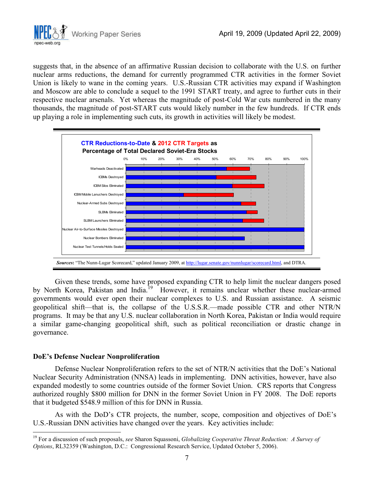

suggests that, in the absence of an affirmative Russian decision to collaborate with the U.S. on further nuclear arms reductions, the demand for currently programmed CTR activities in the former Soviet Union is likely to wane in the coming years. U.S.-Russian CTR activities may expand if Washington and Moscow are able to conclude a sequel to the 1991 START treaty, and agree to further cuts in their respective nuclear arsenals. Yet whereas the magnitude of post-Cold War cuts numbered in the many thousands, the magnitude of post-START cuts would likely number in the few hundreds. If CTR ends up playing a role in implementing such cuts, its growth in activities will likely be modest.



Given these trends, some have proposed expanding CTR to help limit the nuclear dangers posed by North Korea, Pakistan and India.<sup>19</sup> However, it remains unclear whether these nuclear-armed governments would ever open their nuclear complexes to U.S. and Russian assistance. A seismic geopolitical shift—that is, the collapse of the U.S.S.R.—made possible CTR and other NTR/N programs. It may be that any U.S. nuclear collaboration in North Korea, Pakistan or India would require a similar game-changing geopolitical shift, such as political reconciliation or drastic change in governance.

#### **DoE's Defense Nuclear Nonproliferation**

<u>.</u>

Defense Nuclear Nonproliferation refers to the set of NTR/N activities that the DoE's National Nuclear Security Administration (NNSA) leads in implementing. DNN activities, however, have also expanded modestly to some countries outside of the former Soviet Union. CRS reports that Congress authorized roughly \$800 million for DNN in the former Soviet Union in FY 2008. The DoE reports that it budgeted \$548.9 million of this for DNN in Russia.

As with the DoD's CTR projects, the number, scope, composition and objectives of DoE's U.S.-Russian DNN activities have changed over the years. Key activities include:

<sup>19</sup> For a discussion of such proposals, *see* Sharon Squassoni, *Globalizing Cooperative Threat Reduction: A Survey of Options*, RL32359 (Washington, D.C.: Congressional Research Service, Updated October 5, 2006).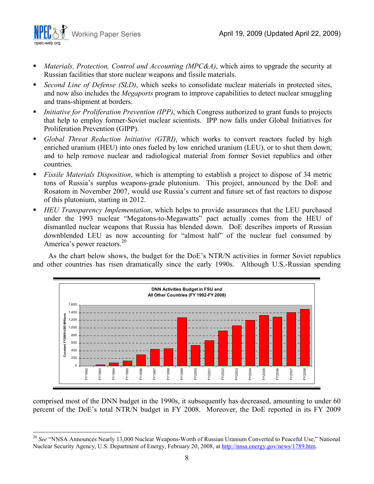

 $\overline{a}$ 

- *Materials, Protection, Control and Accounting (MPC&A)*, which aims to upgrade the security at Russian facilities that store nuclear weapons and fissile materials.
- *Second Line of Defense (SLD)*, which seeks to consolidate nuclear materials in protected sites, and now also includes the *Megaports* program to improve capabilities to detect nuclear smuggling and trans-shipment at borders.
- *Initiative for Proliferation Prevention (IPP)*, which Congress authorized to grant funds to projects that help to employ former-Soviet nuclear scientists. IPP now falls under Global Initiatives for Proliferation Prevention (GIPP).
- *Global Threat Reduction Initiative (GTRI)*, which works to convert reactors fueled by high enriched uranium (HEU) into ones fueled by low enriched uranium (LEU), or to shut them down; and to help remove nuclear and radiological material from former Soviet republics and other countries.
- *Fissile Materials Disposition*, which is attempting to establish a project to dispose of 34 metric tons of Russia's surplus weapons-grade plutonium. This project, announced by the DoE and Rosatom in November 2007, would use Russia's current and future set of fast reactors to dispose of this plutonium, starting in 2012.
- *HEU Transparency Implementation*, which helps to provide assurances that the LEU purchased under the 1993 nuclear "Megatons-to-Megawatts" pact actually comes from the HEU of dismantled nuclear weapons that Russia has blended down. DoE describes imports of Russian downblended LEU as now accounting for "almost half" of the nuclear fuel consumed by America's power reactors.<sup>20</sup>

As the chart below shows, the budget for the DoE's NTR/N activities in former Soviet republics and other countries has risen dramatically since the early 1990s. Although U.S.-Russian spending



comprised most of the DNN budget in the 1990s, it subsequently has decreased, amounting to under 60 percent of the DoE's total NTR/N budget in FY 2008. Moreover, the DoE reported in its FY 2009

<sup>&</sup>lt;sup>20</sup> See "NNSA Announces Nearly 13,000 Nuclear Weapons-Worth of Russian Uranium Converted to Peaceful Use," National Nuclear Security Agency, U.S. Department of Energy, February 20, 2008, at http://nnsa.energy.gov/news/1789.htm.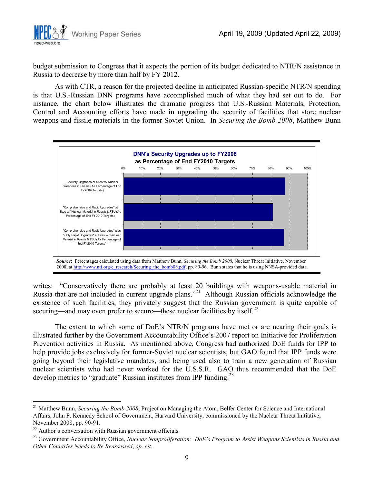

budget submission to Congress that it expects the portion of its budget dedicated to NTR/N assistance in Russia to decrease by more than half by FY 2012.

As with CTR, a reason for the projected decline in anticipated Russian-specific NTR/N spending is that U.S.-Russian DNN programs have accomplished much of what they had set out to do. For instance, the chart below illustrates the dramatic progress that U.S.-Russian Materials, Protection, Control and Accounting efforts have made in upgrading the security of facilities that store nuclear weapons and fissile materials in the former Soviet Union. In *Securing the Bomb 2008*, Matthew Bunn



writes: "Conservatively there are probably at least 20 buildings with weapons-usable material in Russia that are not included in current upgrade plans."<sup>21</sup> Although Russian officials acknowledge the existence of such facilities, they privately suggest that the Russian government is quite capable of securing—and may even prefer to secure—these nuclear facilities by itself.<sup>22</sup>

The extent to which some of DoE's NTR/N programs have met or are nearing their goals is illustrated further by the Government Accountability Office's 2007 report on Initiative for Proliferation Prevention activities in Russia. As mentioned above, Congress had authorized DoE funds for IPP to help provide jobs exclusively for former-Soviet nuclear scientists, but GAO found that IPP funds were going beyond their legislative mandates, and being used also to train a new generation of Russian nuclear scientists who had never worked for the U.S.S.R. GAO thus recommended that the DoE develop metrics to "graduate" Russian institutes from IPP funding.<sup>23</sup>

-

<sup>21</sup> Matthew Bunn, *Securing the Bomb 2008*, Project on Managing the Atom, Belfer Center for Science and International Affairs, John F. Kennedy School of Government, Harvard University, commissioned by the Nuclear Threat Initiative, November 2008, pp. 90-91.

<sup>&</sup>lt;sup>22</sup> Author's conversation with Russian government officials.

<sup>23</sup> Government Accountability Office, *Nuclear Nonproliferation: DoE's Program to Assist Weapons Scientists in Russia and Other Countries Needs to Be Reassessed*, *op. cit.*.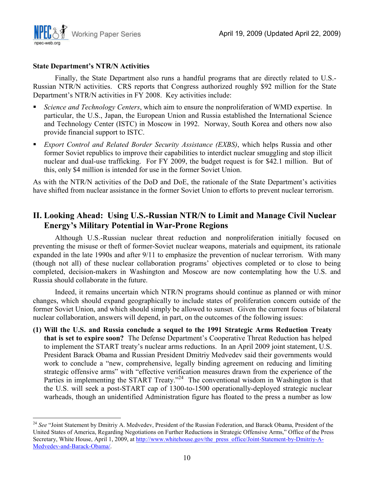

#### **State Department's NTR/N Activities**

-

Finally, the State Department also runs a handful programs that are directly related to U.S.- Russian NTR/N activities. CRS reports that Congress authorized roughly \$92 million for the State Department's NTR/N activities in FY 2008. Key activities include:

- *Science and Technology Centers*, which aim to ensure the nonproliferation of WMD expertise. In particular, the U.S., Japan, the European Union and Russia established the International Science and Technology Center (ISTC) in Moscow in 1992. Norway, South Korea and others now also provide financial support to ISTC.
- *Export Control and Related Border Security Assistance (EXBS)*, which helps Russia and other former Soviet republics to improve their capabilities to interdict nuclear smuggling and stop illicit nuclear and dual-use trafficking. For FY 2009, the budget request is for \$42.1 million. But of this, only \$4 million is intended for use in the former Soviet Union.

As with the NTR/N activities of the DoD and DoE, the rationale of the State Department's activities have shifted from nuclear assistance in the former Soviet Union to efforts to prevent nuclear terrorism.

## **II. Looking Ahead: Using U.S.-Russian NTR/N to Limit and Manage Civil Nuclear Energy's Military Potential in War-Prone Regions**

Although U.S.-Russian nuclear threat reduction and nonproliferation initially focused on preventing the misuse or theft of former-Soviet nuclear weapons, materials and equipment, its rationale expanded in the late 1990s and after 9/11 to emphasize the prevention of nuclear terrorism. With many (though not all) of these nuclear collaboration programs' objectives completed or to close to being completed, decision-makers in Washington and Moscow are now contemplating how the U.S. and Russia should collaborate in the future.

Indeed, it remains uncertain which NTR/N programs should continue as planned or with minor changes, which should expand geographically to include states of proliferation concern outside of the former Soviet Union, and which should simply be allowed to sunset. Given the current focus of bilateral nuclear collaboration, answers will depend, in part, on the outcomes of the following issues:

**(1) Will the U.S. and Russia conclude a sequel to the 1991 Strategic Arms Reduction Treaty that is set to expire soon?** The Defense Department's Cooperative Threat Reduction has helped to implement the START treaty's nuclear arms reductions. In an April 2009 joint statement, U.S. President Barack Obama and Russian President Dmitriy Medvedev said their governments would work to conclude a "new, comprehensive, legally binding agreement on reducing and limiting strategic offensive arms" with "effective verification measures drawn from the experience of the Parties in implementing the START Treaty."<sup>24</sup> The conventional wisdom in Washington is that the U.S. will seek a post-START cap of 1300-to-1500 operationally-deployed strategic nuclear warheads, though an unidentified Administration figure has floated to the press a number as low

<sup>&</sup>lt;sup>24</sup> See "Joint Statement by Dmitriy A. Medvedev, President of the Russian Federation, and Barack Obama, President of the United States of America, Regarding Negotiations on Further Reductions in Strategic Offensive Arms," Office of the Press Secretary, White House, April 1, 2009, at http://www.whitehouse.gov/the\_press\_office/Joint-Statement-by-Dmitriy-A-Medvedev-and-Barack-Obama/.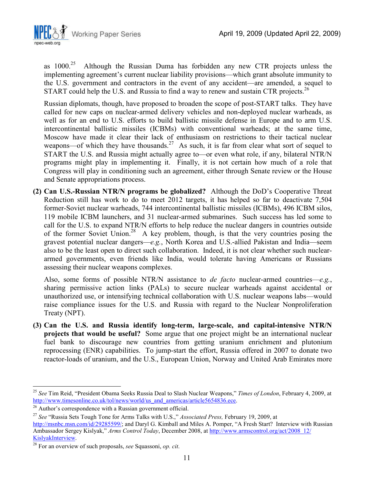

as  $1000<sup>25</sup>$  Although the Russian Duma has forbidden any new CTR projects unless the implementing agreement's current nuclear liability provisions—which grant absolute immunity to the U.S. government and contractors in the event of any accident—are amended, a sequel to START could help the U.S. and Russia to find a way to renew and sustain CTR projects.<sup>26</sup>

Russian diplomats, though, have proposed to broaden the scope of post-START talks. They have called for new caps on nuclear-armed delivery vehicles and non-deployed nuclear warheads, as well as for an end to U.S. efforts to build ballistic missile defense in Europe and to arm U.S. intercontinental ballistic missiles (ICBMs) with conventional warheads; at the same time, Moscow have made it clear their lack of enthusiasm on restrictions to their tactical nuclear weapons—of which they have thousands.<sup>27</sup> As such, it is far from clear what sort of sequel to START the U.S. and Russia might actually agree to—or even what role, if any, bilateral NTR/N programs might play in implementing it. Finally, it is not certain how much of a role that Congress will play in conditioning such an agreement, either through Senate review or the House and Senate appropriations process.

**(2) Can U.S.-Russian NTR/N programs be globalized?** Although the DoD's Cooperative Threat Reduction still has work to do to meet 2012 targets, it has helped so far to deactivate 7,504 former-Soviet nuclear warheads, 744 intercontinental ballistic missiles (ICBMs), 496 ICBM silos, 119 mobile ICBM launchers, and 31 nuclear-armed submarines. Such success has led some to call for the U.S. to expand NTR/N efforts to help reduce the nuclear dangers in countries outside of the former Soviet Union.<sup>28</sup> A key problem, though, is that the very countries posing the gravest potential nuclear dangers—*e.g.*, North Korea and U.S.-allied Pakistan and India—seem also to be the least open to direct such collaboration. Indeed, it is not clear whether such nucleararmed governments, even friends like India, would tolerate having Americans or Russians assessing their nuclear weapons complexes.

Also, some forms of possible NTR/N assistance to *de facto* nuclear-armed countries—*e.g.*, sharing permissive action links (PALs) to secure nuclear warheads against accidental or unauthorized use, or intensifying technical collaboration with U.S. nuclear weapons labs—would raise compliance issues for the U.S. and Russia with regard to the Nuclear Nonproliferation Treaty (NPT).

**(3) Can the U.S. and Russia identify long-term, large-scale, and capital-intensive NTR/N projects that would be useful?** Some argue that one project might be an international nuclear fuel bank to discourage new countries from getting uranium enrichment and plutonium reprocessing (ENR) capabilities. To jump-start the effort, Russia offered in 2007 to donate two reactor-loads of uranium, and the U.S., European Union, Norway and United Arab Emirates more

 $\overline{a}$ 

<sup>25</sup> *See* Tim Reid, "President Obama Seeks Russia Deal to Slash Nuclear Weapons," *Times of London*, February 4, 2009, at http://www.timesonline.co.uk/tol/news/world/us\_and\_americas/article5654836.ece.

<sup>&</sup>lt;sup>26</sup> Author's correspondence with a Russian government official.

<sup>27</sup> *See* "Russia Sets Tough Tone for Arms Talks with U.S.," *Associated Press,* February 19, 2009, at

http://msnbc.msn.com/id/29285599/; and Daryl G. Kimball and Miles A. Pomper, "A Fresh Start? Interview with Russian Ambassador Sergey Kislyak," *Arms Control Today*, December 2008, at http://www.armscontrol.org/act/2008\_12/ KislyakInterview.

<sup>28</sup> For an overview of such proposals, *see* Squassoni, *op. cit*.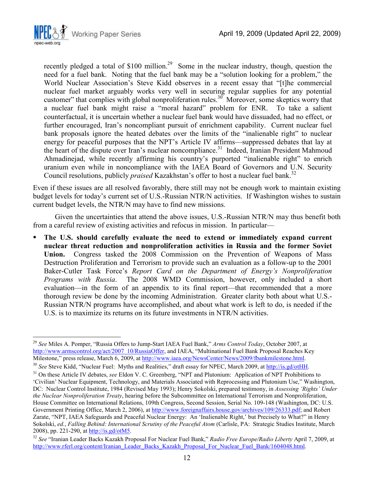

recently pledged a total of  $$100$  million.<sup>29</sup> Some in the nuclear industry, though, question the need for a fuel bank. Noting that the fuel bank may be a "solution looking for a problem," the World Nuclear Association's Steve Kidd observes in a recent essay that "[t]he commercial nuclear fuel market arguably works very well in securing regular supplies for any potential customer" that complies with global nonproliferation rules.<sup>30</sup> Moreover, some skeptics worry that a nuclear fuel bank might raise a "moral hazard" problem for ENR. To take a salient counterfactual, it is uncertain whether a nuclear fuel bank would have dissuaded, had no effect, or further encouraged, Iran's noncompliant pursuit of enrichment capability. Current nuclear fuel bank proposals ignore the heated debates over the limits of the "inalienable right" to nuclear energy for peaceful purposes that the NPT's Article IV affirms—suppressed debates that lay at the heart of the dispute over Iran's nuclear noncompliance.<sup>31</sup> Indeed, Iranian President Mahmoud Ahmadinejad, while recently affirming his country's purported "inalienable right" to enrich uranium even while in noncompliance with the IAEA Board of Governors and U.N. Security Council resolutions, publicly *praised* Kazakhstan's offer to host a nuclear fuel bank.<sup>32</sup>

Even if these issues are all resolved favorably, there still may not be enough work to maintain existing budget levels for today's current set of U.S.-Russian NTR/N activities. If Washington wishes to sustain current budget levels, the NTR/N may have to find new missions.

Given the uncertainties that attend the above issues, U.S.-Russian NTR/N may thus benefit both from a careful review of existing activities and refocus in mission. In particular—

 **The U.S. should carefully evaluate the need to extend or immediately expand current nuclear threat reduction and nonproliferation activities in Russia and the former Soviet Union.** Congress tasked the 2008 Commission on the Prevention of Weapons of Mass Destruction Proliferation and Terrorism to provide such an evaluation as a follow-up to the 2001 Baker-Cutler Task Force's *Report Card on the Department of Energy's Nonproliferation Programs with Russia*. The 2008 WMD Commission, however, only included a short evaluation—in the form of an appendix to its final report—that recommended that a more thorough review be done by the incoming Administration. Greater clarity both about what U.S.- Russian NTR/N programs have accomplished, and about what work is left to do, is needed if the U.S. is to maximize its returns on its future investments in NTR/N activities.

<sup>-</sup><sup>29</sup> *See* Miles A. Pomper, "Russia Offers to Jump-Start IAEA Fuel Bank," *Arms Control Today*, October 2007, at http://www.armscontrol.org/act/2007\_10/RussiaOffer, and IAEA, "Multinational Fuel Bank Proposal Reaches Key Milestone," press release, March 6, 2009, at http://www.iaea.org/NewsCenter/News/2009/fbankmilestone.html.

<sup>&</sup>lt;sup>30</sup> See Steve Kidd, "Nuclear Fuel: Myths and Realities," draft essay for NPEC, March 2009, at http://is.gd/otHH.

<sup>&</sup>lt;sup>31</sup> On these Article IV debates, *see* Eldon V. C. Greenberg, "NPT and Plutonium: Application of NPT Prohibitions to 'Civilian' Nuclear Equipment, Technology, and Materials Associated with Reprocessing and Plutonium Use," Washington, DC: Nuclear Control Institute, 1984 (Revised May 1993); Henry Sokolski, prepared testimony, in *Assessing 'Rights' Under the Nuclear Nonproliferation Treaty*, hearing before the Subcommittee on International Terrorism and Nonproliferation, House Committee on International Relations, 109th Congress, Second Session, Serial No. 109-148 (Washington, DC: U.S. Government Printing Office, March 2, 2006), at http://www.foreignaffairs.house.gov/archives/109/26333.pdf; and Robert Zarate, "NPT, IAEA Safeguards and Peaceful Nuclear Energy: An 'Inalienable Right,' but Precisely to What?" in Henry Sokolski, *ed.*, *Falling Behind: International Scrutiny of the Peaceful Atom* (Carlisle, PA: Strategic Studies Institute, March 2008), pp. 221-290, at http://is.gd/otM5.

<sup>32</sup> *See* "Iranian Leader Backs Kazakh Proposal For Nuclear Fuel Bank," *Radio Free Europe/Radio Liberty* April 7, 2009, at http://www.rferl.org/content/Iranian\_Leader\_Backs\_Kazakh\_Proposal\_For\_Nuclear\_Fuel\_Bank/1604048.html.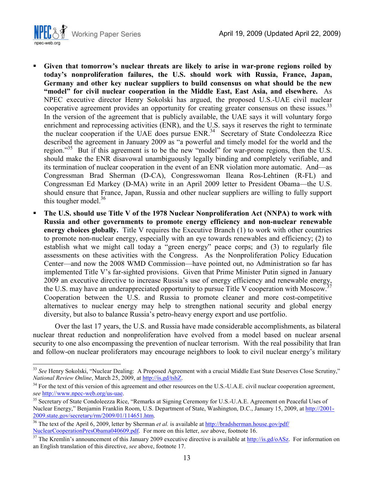

<u>.</u>

- **Given that tomorrow's nuclear threats are likely to arise in war-prone regions roiled by today's nonproliferation failures, the U.S. should work with Russia, France, Japan, Germany and other key nuclear suppliers to build consensus on what should be the new "model" for civil nuclear cooperation in the Middle East, East Asia, and elsewhere.** As NPEC executive director Henry Sokolski has argued, the proposed U.S.-UAE civil nuclear cooperative agreement provides an opportunity for creating greater consensus on these issues.<sup>33</sup> In the version of the agreement that is publicly available, the UAE says it will voluntary forgo enrichment and reprocessing activities (ENR), and the U.S. says it reserves the right to terminate the nuclear cooperation if the UAE does pursue ENR.<sup>34</sup> Secretary of State Condoleezza Rice described the agreement in January 2009 as "a powerful and timely model for the world and the region."<sup>35</sup> But if this agreement is to be the new "model" for war-prone regions, then the U.S. should make the ENR disavowal unambiguously legally binding and completely verifiable, and its termination of nuclear cooperation in the event of an ENR violation more automatic. And—as Congressman Brad Sherman (D-CA), Congresswoman Ileana Ros-Lehtinen (R-FL) and Congressman Ed Markey (D-MA) write in an April 2009 letter to President Obama—the U.S. should ensure that France, Japan, Russia and other nuclear suppliers are willing to fully support this tougher model.<sup>36</sup>
- **The U.S. should use Title V of the 1978 Nuclear Nonproliferation Act (NNPA) to work with Russia and other governments to promote energy efficiency and non-nuclear renewable energy choices globally.** Title V requires the Executive Branch (1) to work with other countries to promote non-nuclear energy, especially with an eye towards renewables and efficiency; (2) to establish what we might call today a "green energy" peace corps; and (3) to regularly file assessments on these activities with the Congress.As the Nonproliferation Policy Education Center—and now the 2008 WMD Commission—have pointed out, no Administration so far has implemented Title V's far-sighted provisions. Given that Prime Minister Putin signed in January 2009 an executive directive to increase Russia's use of energy efficiency and renewable energy, the U.S. may have an underappreciated opportunity to pursue Title V cooperation with Moscow. Cooperation between the U.S. and Russia to promote cleaner and more cost-competitive alternatives to nuclear energy may help to strengthen national security and global energy diversity, but also to balance Russia's petro-heavy energy export and use portfolio.

Over the last 17 years, the U.S. and Russia have made considerable accomplishments, as bilateral nuclear threat reduction and nonproliferation have evolved from a model based on nuclear arsenal security to one also encompassing the prevention of nuclear terrorism. With the real possibility that Iran and follow-on nuclear proliferators may encourage neighbors to look to civil nuclear energy's military

<sup>&</sup>lt;sup>33</sup> See Henry Sokolski, "Nuclear Dealing: A Proposed Agreement with a crucial Middle East State Deserves Close Scrutiny," *National Review Online*, March 25, 2009, at http://is.gd/tshZ.

<sup>&</sup>lt;sup>34</sup> For the text of this version of this agreement and other resources on the U.S.-U.A.E. civil nuclear cooperation agreement, *see* http://www.npec-web.org/us-uae.

<sup>&</sup>lt;sup>35</sup> Secretary of State Condoleezza Rice, "Remarks at Signing Ceremony for U.S.-U.A.E. Agreement on Peaceful Uses of Nuclear Energy," Benjamin Franklin Room, U.S. Department of State, Washington, D.C., January 15, 2009, at http://2001- 2009.state.gov/secretary/rm/2009/01/114651.htm.

<sup>&</sup>lt;sup>36</sup> The text of the April 6, 2009, letter by Sherman *et al.* is available at http://bradsherman.house.gov/pdf/ NuclearCooperationPresObama040609.pdf. For more on this letter, *see* above, footnote 16.

<sup>&</sup>lt;sup>37</sup> The Kremlin's announcement of this January 2009 executive directive is available at  $\frac{http://is.gd/oASz}{http://is.gd/oASz}$ . For information on an English translation of this directive, *see* above, footnote 17.